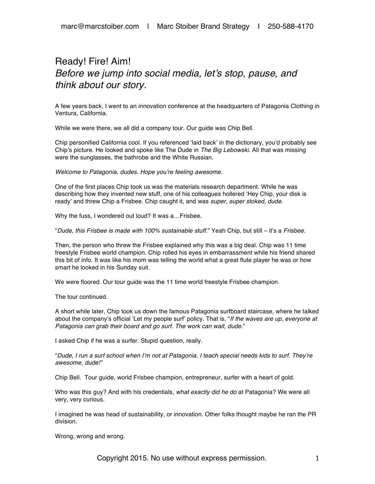## Ready! Fire! Aim! *Before we jump into social media, let's stop, pause, and think about our story.*

A few years back, I went to an innovation conference at the headquarters of Patagonia Clothing in Ventura, California.

While we were there, we all did a company tour. Our guide was Chip Bell.

Chip personified California cool. If you referenced 'laid back' in the dictionary, you'd probably see Chip's picture. He looked and spoke like The Dude in *The Big Lebowski*. All that was missing were the sunglasses, the bathrobe and the White Russian.

*Welcome to Patagonia, dudes. Hope you're feeling awesome.*

One of the first places Chip took us was the materials research department. While he was describing how they invented new stuff, one of his colleagues hollered 'Hey Chip, your disk is ready' and threw Chip a Frisbee. Chip caught it, and was *super, super stoked, dude*.

Why the fuss, I wondered out loud? It was a…Frisbee.

"*Dude, this Frisbee is made with 100% sustainable stuff*." Yeah Chip, but still – it's a *Frisbee.* 

Then, the person who threw the Frisbee explained why this was a big deal. Chip was 11 time freestyle Frisbee world champion. Chip rolled his eyes in embarrassment while his friend shared this bit of info. It was like his mom was telling the world what a great flute player he was or how smart he looked in his Sunday suit.

We were floored. Our tour guide was the 11 time world freestyle Frisbee champion.

The tour continued.

A short while later, Chip took us down the famous Patagonia surfboard staircase, where he talked about the company's official 'Let my people surf' policy. That is, "*If the waves are up, everyone at Patagonia can grab their board and go surf. The work can wait, dude*."

I asked Chip if he was a surfer. Stupid question, really.

"*Dude, I run a surf school when I'm not at Patagonia. I teach special needs kids to surf. They're awesome, dude!"*

Chip Bell. Tour guide, world Frisbee champion, entrepreneur, surfer with a heart of gold.

Who was this guy? And with his credentials, *what exactly did he do* at Patagonia? We were all very, very curious.

I imagined he was head of sustainability, or innovation. Other folks thought maybe he ran the PR division.

Wrong, wrong and wrong.

Copyright 2015. No use without express permission.  $1$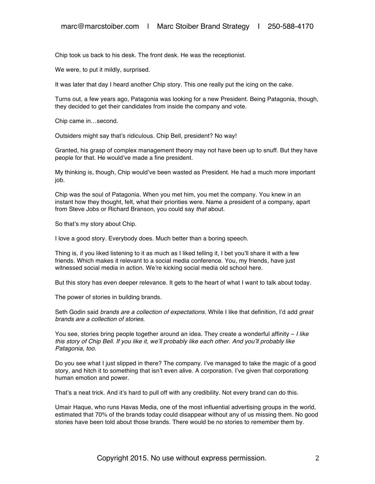Chip took us back to his desk. The front desk. He was the receptionist.

We were, to put it mildly, surprised.

It was later that day I heard another Chip story. This one really put the icing on the cake.

Turns out, a few years ago, Patagonia was looking for a new President. Being Patagonia, though, they decided to get their candidates from inside the company and vote.

Chip came in…second.

Outsiders might say that's ridiculous. Chip Bell, president? No way!

Granted, his grasp of complex management theory may not have been up to snuff. But they have people for that. He would've made a fine president.

My thinking is, though, Chip would've been wasted as President. He had a much more important job.

Chip was the soul of Patagonia. When you met him, you met the company. You knew in an instant how they thought, felt, what their priorities were. Name a president of a company, apart from Steve Jobs or Richard Branson, you could say *that* about.

So that's my story about Chip.

I love a good story. Everybody does. Much better than a boring speech.

Thing is, if you liked listening to it as much as I liked telling it, I bet you'll share it with a few friends. Which makes it relevant to a social media conference. You, my friends, have just witnessed social media in action. We're kicking social media old school here.

But this story has even deeper relevance. It gets to the heart of what I want to talk about today.

The power of stories in building brands.

Seth Godin said *brands are a collection of expectations.* While I like that definition, I'd add *great brands are a collection of stories*.

You see, stories bring people together around an idea. They create a wonderful affinity – *I like this story of Chip Bell. If you like it, we'll probably like each other. And you'll probably like Patagonia, too*.

Do you see what I just slipped in there? The company. I've managed to take the magic of a good story, and hitch it to something that isn't even alive. A corporation. I've given that corporationg human emotion and power.

That's a neat trick. And it's hard to pull off with any credibility. Not every brand can do this.

Umair Haque, who runs Havas Media, one of the most influential advertising groups in the world, estimated that 70% of the brands today could disappear without any of us missing them. No good stories have been told about those brands. There would be no stories to remember them by.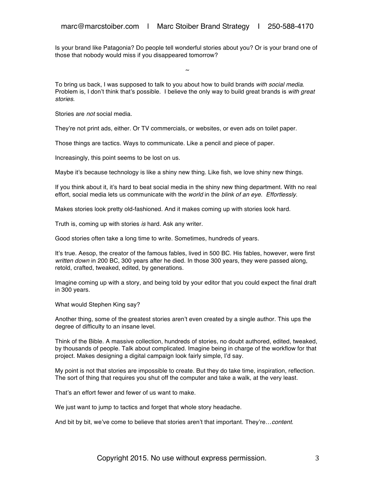Is your brand like Patagonia? Do people tell wonderful stories about you? Or is your brand one of those that nobody would miss if you disappeared tomorrow?

~

To bring us back, I was supposed to talk to you about how to build brands *with social media*. Problem is, I don't think that's possible. I believe the only way to build great brands is *with great stories*.

Stories are *not* social media.

They're not print ads, either. Or TV commercials, or websites, or even ads on toilet paper.

Those things are tactics. Ways to communicate. Like a pencil and piece of paper.

Increasingly, this point seems to be lost on us.

Maybe it's because technology is like a shiny new thing. Like fish, we love shiny new things.

If you think about it, it's hard to beat social media in the shiny new thing department. With no real effort, social media lets us communicate with the *world* in the *blink of an eye*. *Effortlessly*.

Makes stories look pretty old-fashioned. And it makes coming up with stories look hard.

Truth is, coming up with stories *is* hard. Ask any writer.

Good stories often take a long time to write. Sometimes, hundreds of years.

It's true. Aesop, the creator of the famous fables, lived in 500 BC. His fables, however, were first *written down* in 200 BC, 300 years after he died. In those 300 years, they were passed along, retold, crafted, tweaked, edited, by generations.

Imagine coming up with a story, and being told by your editor that you could expect the final draft in 300 years.

What would Stephen King say?

Another thing, some of the greatest stories aren't even created by a single author. This ups the degree of difficulty to an insane level.

Think of the Bible. A massive collection, hundreds of stories, no doubt authored, edited, tweaked, by thousands of people. Talk about complicated. Imagine being in charge of the workflow for that project. Makes designing a digital campaign look fairly simple, I'd say.

My point is not that stories are impossible to create. But they do take time, inspiration, reflection. The sort of thing that requires you shut off the computer and take a walk, at the very least.

That's an effort fewer and fewer of us want to make.

We just want to jump to tactics and forget that whole story headache.

And bit by bit, we've come to believe that stories aren't that important. They're…*content*.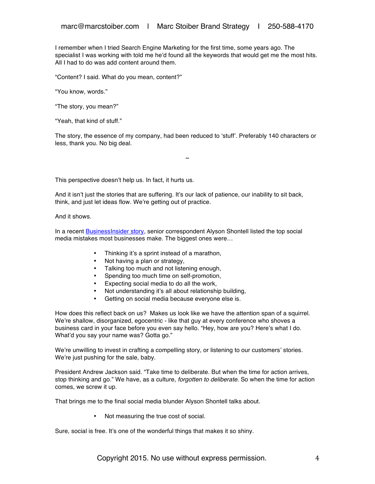I remember when I tried Search Engine Marketing for the first time, some years ago. The specialist I was working with told me he'd found all the keywords that would get me the most hits. All I had to do was add content around them.

"Content? I said. What do you mean, content?"

"You know, words."

"The story, you mean?"

"Yeah, that kind of stuff."

The story, the essence of my company, had been reduced to 'stuff'. Preferably 140 characters or less, thank you. No big deal.

 $\sim$ 

This perspective doesn't help us. In fact, it hurts us.

And it isn't just the stories that are suffering. It's our lack of patience, our inability to sit back, think, and just let ideas flow. We're getting out of practice.

And it shows.

In a recent BusinessInsider story, senior correspondent Alyson Shontell listed the top social media mistakes most businesses make. The biggest ones were…

- Thinking it's a sprint instead of a marathon,
- Not having a plan or strategy,
- Talking too much and not listening enough,
- Spending too much time on self-promotion,
- Expecting social media to do all the work,
- Not understanding it's all about relationship building,
- Getting on social media because everyone else is.

How does this reflect back on us? Makes us look like we have the attention span of a squirrel. We're shallow, disorganized, egocentric - like that guy at every conference who shoves a business card in your face before you even say hello. "Hey, how are you? Here's what I do. What'd you say your name was? Gotta go."

We're unwilling to invest in crafting a compelling story, or listening to our customers' stories. We're just pushing for the sale, baby.

President Andrew Jackson said*.* "Take time to deliberate. But when the time for action arrives, stop thinking and go." We have, as a culture, *forgotten to deliberate*. So when the time for action comes, we screw it up.

That brings me to the final social media blunder Alyson Shontell talks about.

• Not measuring the true cost of social.

Sure, social is free. It's one of the wonderful things that makes it so shiny.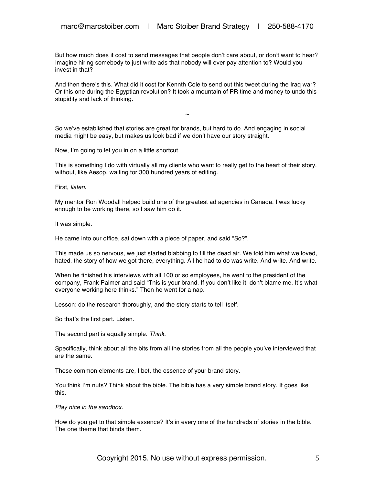But how much does it cost to send messages that people don't care about, or don't want to hear? Imagine hiring somebody to just write ads that nobody will ever pay attention to? Would you invest in that?

And then there's this. What did it cost for Kennth Cole to send out this tweet during the Iraq war? Or this one during the Egyptian revolution? It took a mountain of PR time and money to undo this stupidity and lack of thinking.

 $\sim$ 

So we've established that stories are great for brands, but hard to do. And engaging in social media might be easy, but makes us look bad if we don't have our story straight.

Now, I'm going to let you in on a little shortcut.

This is something I do with virtually all my clients who want to really get to the heart of their story, without, like Aesop, waiting for 300 hundred years of editing.

First, *listen*.

My mentor Ron Woodall helped build one of the greatest ad agencies in Canada. I was lucky enough to be working there, so I saw him do it.

It was simple.

He came into our office, sat down with a piece of paper, and said "So?".

This made us so nervous, we just started blabbing to fill the dead air. We told him what we loved, hated, the story of how we got there, everything. All he had to do was write. And write. And write.

When he finished his interviews with all 100 or so employees, he went to the president of the company, Frank Palmer and said "This is your brand. If you don't like it, don't blame me. It's what everyone working here thinks." Then he went for a nap.

Lesson: do the research thoroughly, and the story starts to tell itself.

So that's the first part. Listen.

The second part is equally simple. *Think*.

Specifically, think about all the bits from all the stories from all the people you've interviewed that are the same.

These common elements are, I bet, the essence of your brand story.

You think I'm nuts? Think about the bible. The bible has a very simple brand story. It goes like this.

*Play nice in the sandbox*.

How do you get to that simple essence? It's in every one of the hundreds of stories in the bible. The one theme that binds them.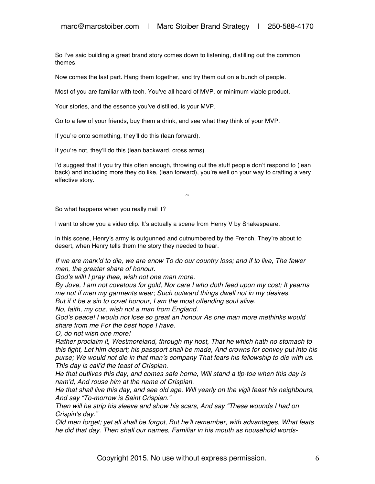So I've said building a great brand story comes down to listening, distilling out the common themes.

Now comes the last part. Hang them together, and try them out on a bunch of people.

Most of you are familiar with tech. You've all heard of MVP, or minimum viable product.

Your stories, and the essence you've distilled, is your MVP.

Go to a few of your friends, buy them a drink, and see what they think of your MVP.

If you're onto something, they'll do this (lean forward).

If you're not, they'll do this (lean backward, cross arms).

I'd suggest that if you try this often enough, throwing out the stuff people don't respond to (lean back) and including more they do like, (lean forward), you're well on your way to crafting a very effective story.

 $\sim$ 

So what happens when you really nail it?

I want to show you a video clip. It's actually a scene from Henry V by Shakespeare.

In this scene, Henry's army is outgunned and outnumbered by the French. They're about to desert, when Henry tells them the story they needed to hear.

*If we are mark'd to die, we are enow To do our country loss; and if to live, The fewer men, the greater share of honour.*

*God's will! I pray thee, wish not one man more.*

*By Jove, I am not covetous for gold, Nor care I who doth feed upon my cost; It yearns me not if men my garments wear; Such outward things dwell not in my desires. But if it be a sin to covet honour, I am the most offending soul alive.*

*No, faith, my coz, wish not a man from England.*

*God's peace! I would not lose so great an honour As one man more methinks would share from me For the best hope I have.* 

*O, do not wish one more!*

*Rather proclaim it, Westmoreland, through my host, That he which hath no stomach to this fight, Let him depart; his passport shall be made, And crowns for convoy put into his purse; We would not die in that man's company That fears his fellowship to die with us. This day is call'd the feast of Crispian.*

*He that outlives this day, and comes safe home, Will stand a tip-toe when this day is nam'd, And rouse him at the name of Crispian.*

*He that shall live this day, and see old age, Will yearly on the vigil feast his neighbours, And say "To-morrow is Saint Crispian."*

*Then will he strip his sleeve and show his scars, And say "These wounds I had on Crispin's day."*

*Old men forget; yet all shall be forgot, But he'll remember, with advantages, What feats he did that day. Then shall our names, Familiar in his mouth as household words-*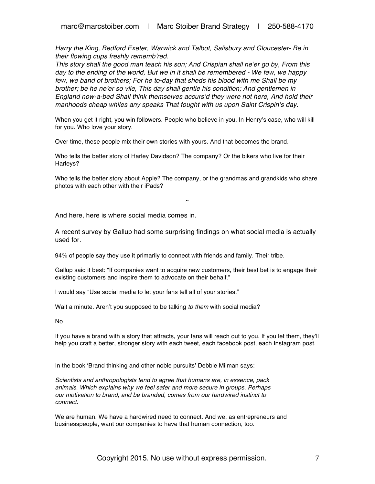*Harry the King, Bedford Exeter, Warwick and Talbot, Salisbury and Gloucester- Be in their flowing cups freshly rememb'red.*

*This story shall the good man teach his son; And Crispian shall ne'er go by, From this day to the ending of the world, But we in it shall be remembered - We few, we happy few, we band of brothers; For he to-day that sheds his blood with me Shall be my brother; be he ne'er so vile, This day shall gentle his condition; And gentlemen in England now-a-bed Shall think themselves accurs'd they were not here, And hold their manhoods cheap whiles any speaks That fought with us upon Saint Crispin's day.*

When you get it right, you win followers. People who believe in you. In Henry's case, who will kill for you. Who love your story.

Over time, these people mix their own stories with yours. And that becomes the brand.

Who tells the better story of Harley Davidson? The company? Or the bikers who live for their Harleys?

Who tells the better story about Apple? The company, or the grandmas and grandkids who share photos with each other with their iPads?

 $\sim$ 

And here, here is where social media comes in.

A recent survey by Gallup had some surprising findings on what social media is actually used for.

94% of people say they use it primarily to connect with friends and family. Their tribe.

Gallup said it best: "If companies want to acquire new customers, their best bet is to engage their existing customers and inspire them to advocate on their behalf."

I would say "Use social media to let your fans tell all of your stories."

Wait a minute. Aren't you supposed to be talking *to them* with social media?

No.

If you have a brand with a story that attracts, your fans will reach out to you. If you let them, they'll help you craft a better, stronger story with each tweet, each facebook post, each Instagram post.

In the book 'Brand thinking and other noble pursuits' Debbie Milman says:

*Scientists and anthropologists tend to agree that humans are, in essence, pack animals. Which explains why we feel safer and more secure in groups. Perhaps our motivation to brand, and be branded, comes from our hardwired instinct to connect.*

We are human. We have a hardwired need to connect. And we, as entrepreneurs and businesspeople, want our companies to have that human connection, too.